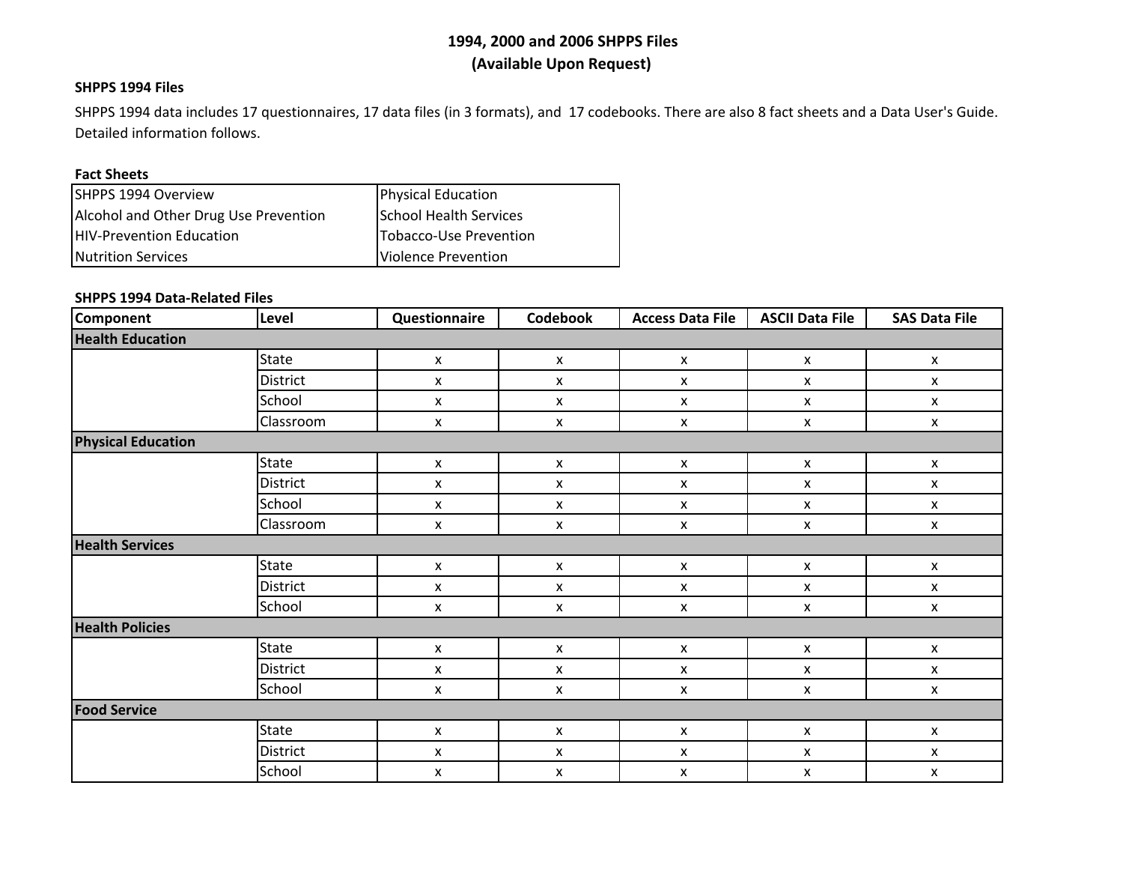### **SHPPS 1994 Files**

SHPPS 1994 data includes 17 questionnaires, 17 data files (in 3 formats), and 17 codebooks. There are also 8 fact sheets and <sup>a</sup> Data User's Guide. Detailed information follows.

#### **Fact Sheets**

| SHPPS 1994 Overview                   | <b>Physical Education</b> |
|---------------------------------------|---------------------------|
| Alcohol and Other Drug Use Prevention | School Health Services    |
| HIV-Prevention Education              | Tobacco-Use Prevention    |
| <b>Nutrition Services</b>             | Violence Prevention       |

### **SHPPS 1994 Data‐Related Files**

| Component                 | Level           | Questionnaire             | Codebook                  | <b>Access Data File</b>   | <b>ASCII Data File</b>    | <b>SAS Data File</b> |  |  |
|---------------------------|-----------------|---------------------------|---------------------------|---------------------------|---------------------------|----------------------|--|--|
| <b>Health Education</b>   |                 |                           |                           |                           |                           |                      |  |  |
|                           | <b>State</b>    | $\boldsymbol{\mathsf{x}}$ | $\pmb{\mathsf{X}}$        | $\pmb{\mathsf{X}}$        | $\mathsf{x}$              | $\mathsf{x}$         |  |  |
|                           | <b>District</b> | X                         | $\pmb{\times}$            | $\pmb{\mathsf{X}}$        | X                         | $\pmb{\mathsf{X}}$   |  |  |
|                           | School          | X                         | X                         | X                         | X                         | X                    |  |  |
|                           | Classroom       | $\boldsymbol{\mathsf{x}}$ | X                         | X                         | X                         | X                    |  |  |
| <b>Physical Education</b> |                 |                           |                           |                           |                           |                      |  |  |
|                           | <b>State</b>    | X                         | $\pmb{\mathsf{X}}$        | $\pmb{\mathsf{X}}$        | $\pmb{\mathsf{x}}$        | X                    |  |  |
|                           | District        | X                         | X                         | X                         | X                         | X                    |  |  |
|                           | School          | X                         | X                         | X                         | X                         | $\pmb{\mathsf{X}}$   |  |  |
|                           | Classroom       | $\pmb{\mathsf{X}}$        | $\pmb{\mathsf{x}}$        | $\pmb{\mathsf{x}}$        | $\pmb{\mathsf{x}}$        | $\pmb{\mathsf{X}}$   |  |  |
| <b>Health Services</b>    |                 |                           |                           |                           |                           |                      |  |  |
|                           | <b>State</b>    | $\pmb{\mathsf{X}}$        | $\pmb{\mathsf{X}}$        | $\pmb{\mathsf{x}}$        | $\pmb{\mathsf{x}}$        | $\pmb{\mathsf{X}}$   |  |  |
|                           | District        | X                         | X                         | X                         | X                         | X                    |  |  |
|                           | School          | $\pmb{\mathsf{X}}$        | $\pmb{\mathsf{X}}$        | $\pmb{\mathsf{X}}$        | $\pmb{\mathsf{X}}$        | $\pmb{\mathsf{X}}$   |  |  |
| <b>Health Policies</b>    |                 |                           |                           |                           |                           |                      |  |  |
|                           | <b>State</b>    | $\pmb{\mathsf{x}}$        | $\pmb{\mathsf{x}}$        | $\pmb{\mathsf{x}}$        | $\pmb{\mathsf{x}}$        | $\pmb{\mathsf{X}}$   |  |  |
|                           | District        | X                         | X                         | X                         | X                         | X                    |  |  |
|                           | School          | $\boldsymbol{\mathsf{x}}$ | X                         | X                         | X                         | X                    |  |  |
| <b>Food Service</b>       |                 |                           |                           |                           |                           |                      |  |  |
|                           | <b>State</b>    | X                         | $\boldsymbol{\mathsf{x}}$ | $\boldsymbol{\mathsf{x}}$ | $\boldsymbol{\mathsf{x}}$ | X                    |  |  |
|                           | District        | X                         | X                         | X                         | X                         | $\pmb{\mathsf{x}}$   |  |  |
|                           | School          | X                         | $\boldsymbol{\mathsf{x}}$ | X                         | X                         | X                    |  |  |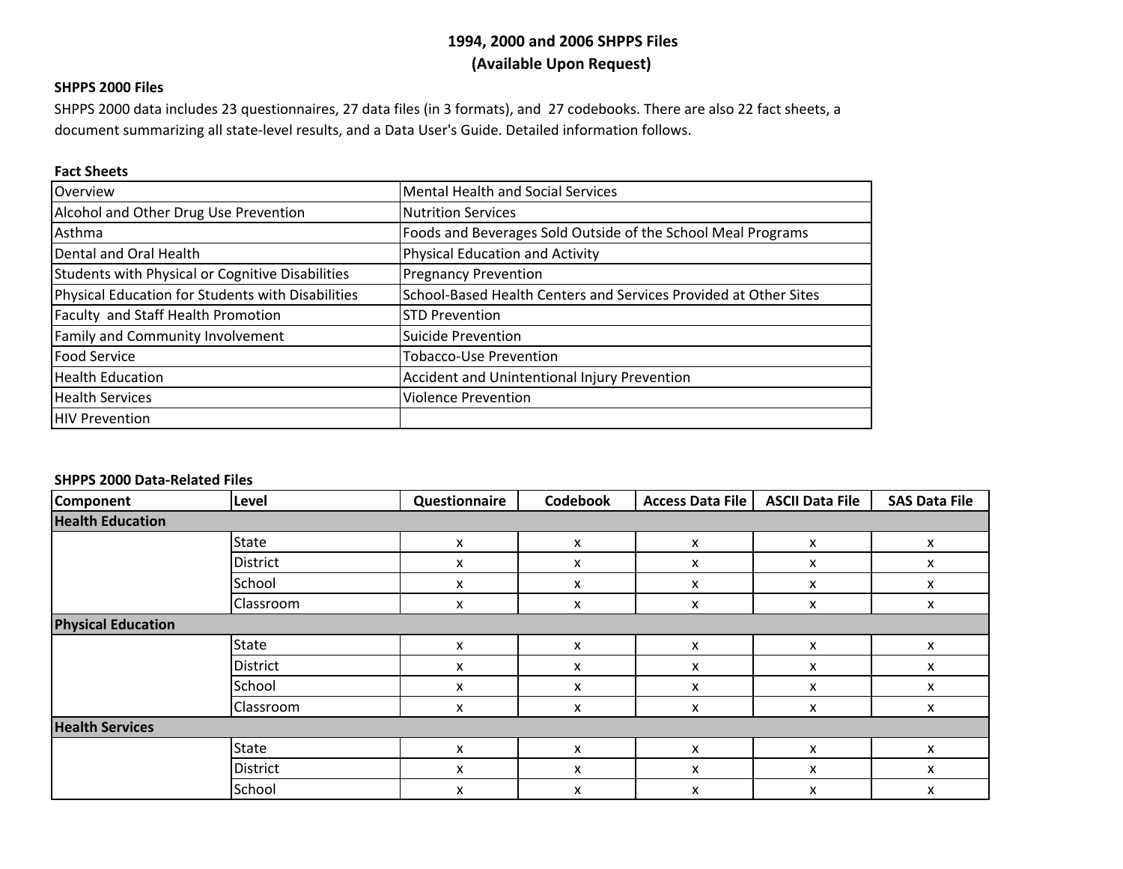### **SHPPS 2000 Files**

SHPPS 2000 data includes 23 questionnaires, 27 data files (in 3 formats), and 27 codebooks. There are also 22 fact sheets, <sup>a</sup> document summarizing all state‐level results, and <sup>a</sup> Data User's Guide. Detailed information follows.

#### **Fact Sheets**

| Overview                                          | <b>Mental Health and Social Services</b>                         |
|---------------------------------------------------|------------------------------------------------------------------|
| Alcohol and Other Drug Use Prevention             | <b>Nutrition Services</b>                                        |
| Asthma                                            | Foods and Beverages Sold Outside of the School Meal Programs     |
| Dental and Oral Health                            | Physical Education and Activity                                  |
| Students with Physical or Cognitive Disabilities  | <b>Pregnancy Prevention</b>                                      |
| Physical Education for Students with Disabilities | School-Based Health Centers and Services Provided at Other Sites |
| Faculty and Staff Health Promotion                | <b>STD Prevention</b>                                            |
| Family and Community Involvement                  | <b>Suicide Prevention</b>                                        |
| <b>Food Service</b>                               | <b>Tobacco-Use Prevention</b>                                    |
| <b>Health Education</b>                           | Accident and Unintentional Injury Prevention                     |
| <b>Health Services</b>                            | <b>Violence Prevention</b>                                       |
| <b>IHIV Prevention</b>                            |                                                                  |

#### **SHPPS 2000 Data‐Related Files**

| Component                 | Level           | Questionnaire | Codebook | <b>Access Data File</b> | <b>ASCII Data File</b> | <b>SAS Data File</b> |  |
|---------------------------|-----------------|---------------|----------|-------------------------|------------------------|----------------------|--|
| <b>Health Education</b>   |                 |               |          |                         |                        |                      |  |
|                           | State           | x             | x        | X                       | x                      | x                    |  |
|                           | <b>District</b> | x             | x        | x                       | X                      | x                    |  |
|                           | School          | X             | x        | x                       | X                      | x                    |  |
|                           | Classroom       | x             | x        | x                       | x                      | X                    |  |
| <b>Physical Education</b> |                 |               |          |                         |                        |                      |  |
|                           | <b>State</b>    | X             | x        | X                       | X                      | X                    |  |
|                           | District        | x             | x        | x                       | X                      | x                    |  |
|                           | School          | X             | x        | x                       | X                      | X                    |  |
|                           | Classroom       | X             | x        | X                       | x                      | X                    |  |
| <b>Health Services</b>    |                 |               |          |                         |                        |                      |  |
|                           | State           | X             | X        | x                       | x                      | x                    |  |
|                           | District        | X             | X        | x                       | x                      | X                    |  |
|                           | School          | X             | X        | x                       | X                      | x                    |  |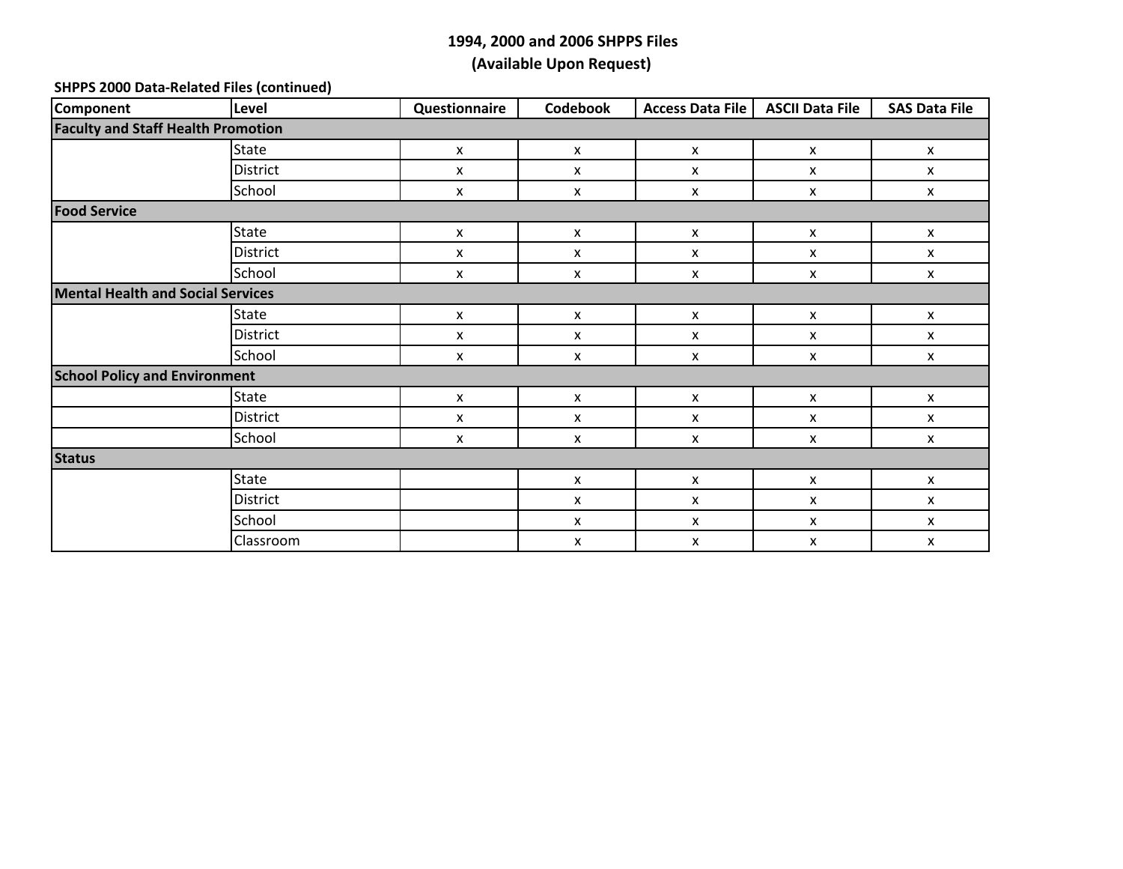#### **SHPPS 2000 Data‐Related Files (continued)**

| Component                                 | Level           | Questionnaire | Codebook           | <b>Access Data File</b> | <b>ASCII Data File</b>    | <b>SAS Data File</b> |  |  |
|-------------------------------------------|-----------------|---------------|--------------------|-------------------------|---------------------------|----------------------|--|--|
| <b>Faculty and Staff Health Promotion</b> |                 |               |                    |                         |                           |                      |  |  |
|                                           | State           | X             | $\mathsf{x}$       | X                       | $\mathsf{x}$              | X                    |  |  |
|                                           | <b>District</b> | X             | X                  | X                       | X                         | X                    |  |  |
|                                           | School          | X             | $\pmb{\mathsf{X}}$ | X                       | $\pmb{\mathsf{X}}$        | X                    |  |  |
| <b>Food Service</b>                       |                 |               |                    |                         |                           |                      |  |  |
|                                           | State           | X             | $\pmb{\mathsf{X}}$ | X                       | $\boldsymbol{\mathsf{x}}$ | X                    |  |  |
|                                           | <b>District</b> | X             | X                  | X                       | $\mathsf{x}$              | X                    |  |  |
|                                           | School          | X             | X                  | X                       | X                         | X                    |  |  |
| <b>Mental Health and Social Services</b>  |                 |               |                    |                         |                           |                      |  |  |
|                                           | State           | X             | $\pmb{\mathsf{X}}$ | X                       | $\pmb{\mathsf{X}}$        | X                    |  |  |
|                                           | <b>District</b> | X             | X                  | X                       | X                         | X                    |  |  |
|                                           | School          | X             | X                  | X                       | X                         | X                    |  |  |
| <b>School Policy and Environment</b>      |                 |               |                    |                         |                           |                      |  |  |
|                                           | State           | X             | $\pmb{\mathsf{x}}$ | X                       | $\pmb{\mathsf{X}}$        | X                    |  |  |
|                                           | District        | X             | X                  | X                       | $\pmb{\mathsf{X}}$        | X                    |  |  |
|                                           | School          | X             | X                  | X                       | $\pmb{\mathsf{X}}$        | X                    |  |  |
| <b>Status</b>                             |                 |               |                    |                         |                           |                      |  |  |
|                                           | State           |               | $\pmb{\mathsf{X}}$ | X                       | $\pmb{\mathsf{X}}$        | X                    |  |  |
|                                           | District        |               | X                  | $\pmb{\mathsf{x}}$      | $\boldsymbol{\mathsf{x}}$ | X                    |  |  |
|                                           | School          |               | $\pmb{\mathsf{X}}$ | X                       | $\pmb{\mathsf{X}}$        | X                    |  |  |
|                                           | Classroom       |               | X                  | X                       | $\pmb{\mathsf{X}}$        | X                    |  |  |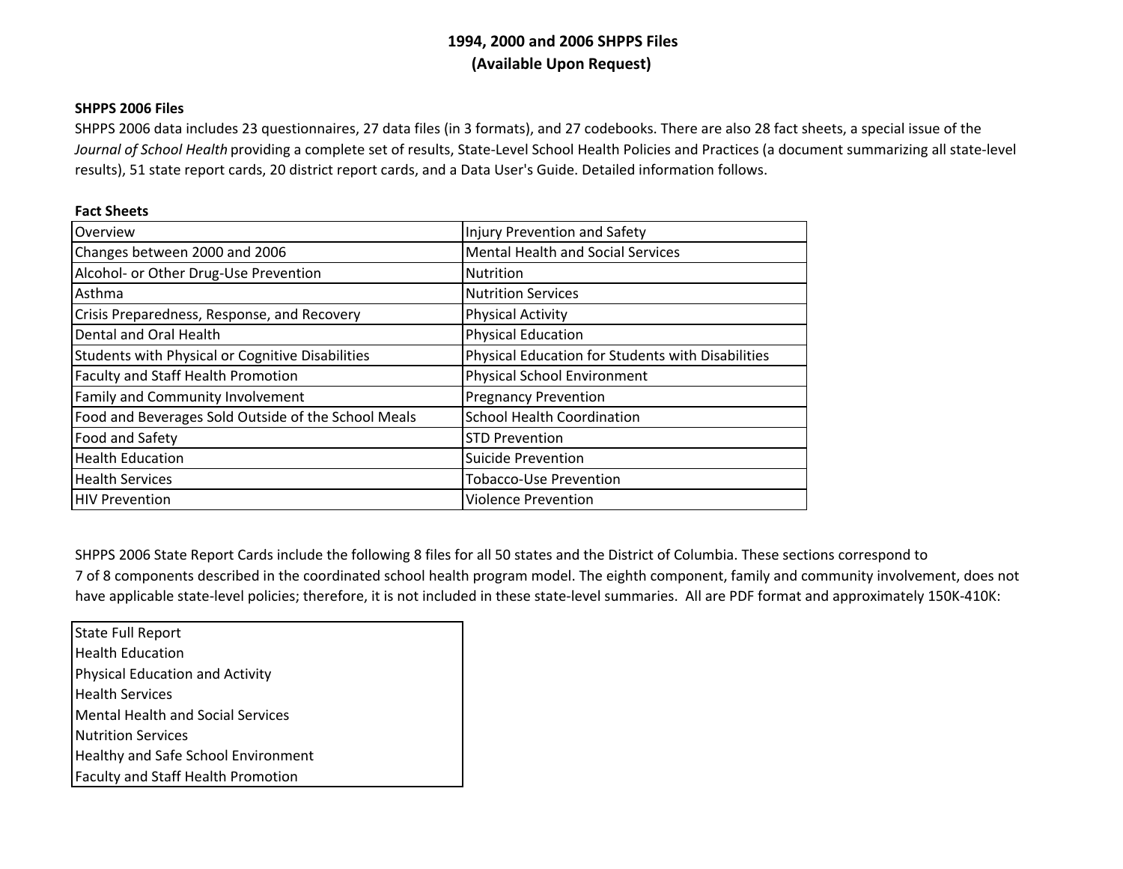## **SHPPS 2006 Files**

SHPPS 2006 data includes 23 questionnaires, 27 data files (in 3 formats), and 27 codebooks. There are also 28 fact sheets, <sup>a</sup> special issue of the *Journal of School Health* providing <sup>a</sup> complete set of results, State‐Level School Health Policies and Practices (a document summarizing all state‐level results), 51 state report cards, 20 district report cards, and <sup>a</sup> Data User's Guide. Detailed information follows.

## **Fact Sheets**

| Overview                                                | Injury Prevention and Safety                      |
|---------------------------------------------------------|---------------------------------------------------|
| Changes between 2000 and 2006                           | <b>Mental Health and Social Services</b>          |
| Alcohol- or Other Drug-Use Prevention                   | <b>Nutrition</b>                                  |
| Asthma                                                  | <b>Nutrition Services</b>                         |
| Crisis Preparedness, Response, and Recovery             | <b>Physical Activity</b>                          |
| Dental and Oral Health                                  | <b>Physical Education</b>                         |
| <b>Students with Physical or Cognitive Disabilities</b> | Physical Education for Students with Disabilities |
| Faculty and Staff Health Promotion                      | <b>Physical School Environment</b>                |
| Family and Community Involvement                        | <b>Pregnancy Prevention</b>                       |
| Food and Beverages Sold Outside of the School Meals     | <b>School Health Coordination</b>                 |
| Food and Safety                                         | <b>STD Prevention</b>                             |
| <b>Health Education</b>                                 | <b>Suicide Prevention</b>                         |
| <b>Health Services</b>                                  | <b>Tobacco-Use Prevention</b>                     |
| <b>HIV Prevention</b>                                   | <b>Violence Prevention</b>                        |

SHPPS 2006 State Report Cards include the following 8 files for all 50 states and the District of Columbia. These sections correspond to

7 of 8 components described in the coordinated school health program model. The eighth component, family and community involvement, does not have applicable state‐level policies; therefore, it is not included in these state‐level summaries. All are PDF format and approximately 150K‐410K:

State Full Report Health Education Physical Education and Activity Health Services Mental Health and Social Services Nutrition Services Healthy and Safe School Environment Faculty and Staff Health Promotion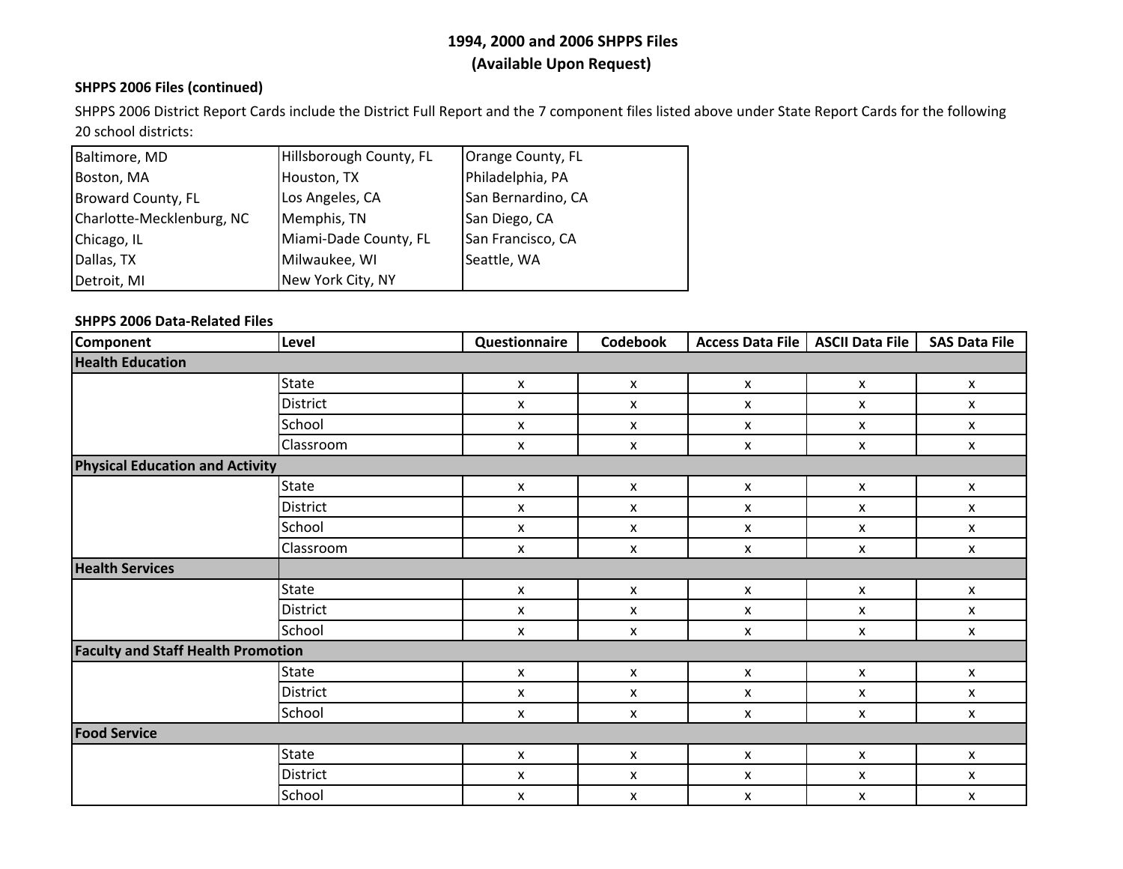## **SHPPS 2006 Files (continued)**

SHPPS 2006 District Report Cards include the District Full Report and the 7 component files listed above under State Report Cards for the following 20 school districts:

| Baltimore, MD             | Hillsborough County, FL | Orange County, FL  |
|---------------------------|-------------------------|--------------------|
| Boston, MA                | Houston, TX             | Philadelphia, PA   |
| <b>Broward County, FL</b> | Los Angeles, CA         | San Bernardino, CA |
| Charlotte-Mecklenburg, NC | Memphis, TN             | San Diego, CA      |
| Chicago, IL               | Miami-Dade County, FL   | San Francisco, CA  |
| Dallas, TX                | Milwaukee, WI           | Seattle, WA        |
| Detroit, MI               | New York City, NY       |                    |

## **SHPPS 2006 Data‐Related Files**

| <b>Component</b>                          | Level           | Questionnaire      | <b>Codebook</b> | <b>Access Data File</b> | <b>ASCII Data File</b> | <b>SAS Data File</b> |  |  |
|-------------------------------------------|-----------------|--------------------|-----------------|-------------------------|------------------------|----------------------|--|--|
| <b>Health Education</b>                   |                 |                    |                 |                         |                        |                      |  |  |
|                                           | <b>State</b>    | $\pmb{\times}$     | X               | $\pmb{\mathsf{x}}$      | X                      | X                    |  |  |
|                                           | District        | $\pmb{\mathsf{x}}$ | X               | $\pmb{\mathsf{x}}$      | X                      | X                    |  |  |
|                                           | School          | $\pmb{\times}$     | X               | X                       | X                      | $\pmb{\mathsf{x}}$   |  |  |
|                                           | Classroom       | $\pmb{\times}$     | X               | X                       | X                      | $\pmb{\mathsf{x}}$   |  |  |
| <b>Physical Education and Activity</b>    |                 |                    |                 |                         |                        |                      |  |  |
|                                           | <b>State</b>    | X                  | X               | X                       | X                      | X                    |  |  |
|                                           | District        | $\pmb{\mathsf{x}}$ | X               | X                       | $\mathsf{x}$           | X                    |  |  |
|                                           | School          | X                  | x               | X                       | X                      | X                    |  |  |
|                                           | Classroom       | X                  | X               | X                       | X                      | $\pmb{\chi}$         |  |  |
| <b>Health Services</b>                    |                 |                    |                 |                         |                        |                      |  |  |
|                                           | <b>State</b>    | X                  | X               | X                       | $\mathsf{x}$           | X                    |  |  |
|                                           | <b>District</b> | X                  | X               | X                       | X                      | X                    |  |  |
|                                           | School          | X                  | X               | X                       | X                      | X                    |  |  |
| <b>Faculty and Staff Health Promotion</b> |                 |                    |                 |                         |                        |                      |  |  |
|                                           | <b>State</b>    | $\pmb{\mathsf{x}}$ | X               | $\pmb{\mathsf{x}}$      | X                      | X                    |  |  |
|                                           | District        | X                  | X               | X                       | X                      | X                    |  |  |
|                                           | School          | X                  | X               | X                       | X                      | X                    |  |  |
| <b>Food Service</b>                       |                 |                    |                 |                         |                        |                      |  |  |
|                                           | <b>State</b>    | X                  | X               | X                       | X                      | X                    |  |  |
|                                           | District        | $\pmb{\mathsf{x}}$ | X               | $\pmb{\mathsf{x}}$      | X                      | X                    |  |  |
|                                           | School          | X                  | X               | X                       | X                      | X                    |  |  |